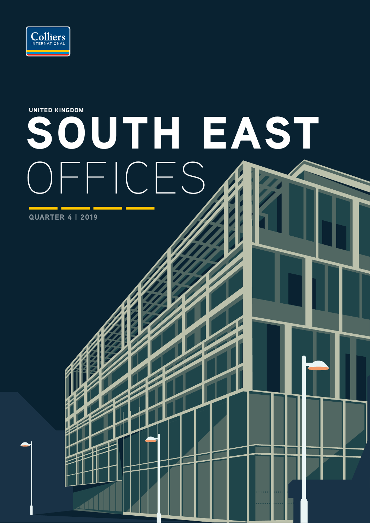

# SOUTH EAST OFFICES UNITED KINGDOM

QUARTER 4 | 2019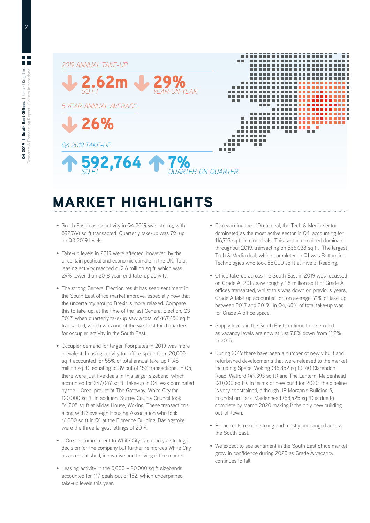

# MARKET HIGHLIGHTS

- South East leasing activity in Q4 2019 was strong, with 592,764 sq ft transacted. Quarterly take-up was 7% up on Q3 2019 levels.
- Take-up levels in 2019 were affected; however, by the uncertain political and economic climate in the UK. Total leasing activity reached c. 2.6 million sq ft, which was 29% lower than 2018 year-end take-up activity.
- The strong General Election result has seen sentiment in the South East office market improve, especially now that the uncertainty around Brexit is more relaxed. Compare this to take-up, at the time of the last General Election, Q3 2017, when quarterly take-up saw a total of 467,456 sq ft transacted, which was one of the weakest third quarters for occupier activity in the South East.
- Occupier demand for larger floorplates in 2019 was more prevalent. Leasing activity for office space from 20,000+ sq ft accounted for 55% of total annual take-up (1.45 million sq ft), equating to 39 out of 152 transactions. In Q4, there were just five deals in this larger sizeband, which accounted for 247,047 sq ft. Take-up in Q4, was dominated by the L'Oreal pre-let at The Gateway, White City for 120,000 sq ft. In addition, Surrey County Council took 56,205 sq ft at Midas House, Woking. These transactions along with Sovereign Housing Association who took 61,000 sq ft in Q1 at the Florence Building, Basingstoke were the three largest lettings of 2019.
- L'Oreal's commitment to White City is not only a strategic decision for the company but further reinforces White City as an established, innovative and thriving office market.
- Leasing activity in the 5,000 20,000 sq ft sizebands accounted for 117 deals out of 152, which underpinned take-up levels this year.
- Disregarding the L'Oreal deal, the Tech & Media sector dominated as the most active sector in Q4, accounting for 116,713 sq ft in nine deals. This sector remained dominant throughout 2019, transacting on 566,038 sq ft. The largest Tech & Media deal, which completed in Q1 was Bottomline Technologies who took 58,000 sq ft at Hive 3, Reading.
- Office take-up across the South East in 2019 was focussed on Grade A. 2019 saw roughly 1.8 million sq ft of Grade A offices transacted, whilst this was down on previous years, Grade A take-up accounted for, on average, 71% of take-up between 2017 and 2019. In Q4, 68% of total take-up was for Grade A office space.
- Supply levels in the South East continue to be eroded as vacancy levels are now at just 7.8% down from 11.2% in 2015.
- During 2019 there have been a number of newly built and refurbished developments that were released to the market including; Space, Woking (86,852 sq ft), 40 Clarendon Road, Watford (49,393 sq ft) and The Lantern, Maidenhead (20,000 sq ft). In terms of new build for 2020, the pipeline is very constrained, although JP Morgan's Building 5, Foundation Park, Maidenhead (68,425 sq ft) is due to complete by March 2020 making it the only new building out-of-town.
- Prime rents remain strong and mostly unchanged across the South East.
- We expect to see sentiment in the South East office market grow in confidence during 2020 as Grade A vacancy continues to fall.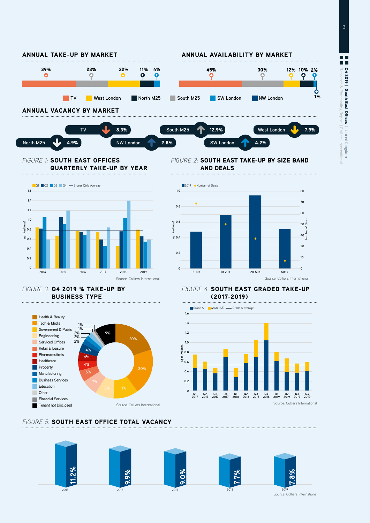

**North M25** 4.9% **NW London** 2.8% **SW London** 4.2%

### *FIGURE 1:* SOUTH EAST OFFICES QUARTERLY TAKE-UP BY YEAR



### *FIGURE 2:* SOUTH EAST TAKE-UP BY SIZE BAND AND DEALS



*FIGURE 4:* SOUTH EAST GRADED TAKE-UP (2017-2019)

### *FIGURE 3:* Q4 2019 % TAKE-UP BY BUSINESS TYPE



### *FIGURE 5:* SOUTH EAST OFFICE TOTAL VACANCY



**1.6 1.4 1.2 1.0 0.8 0.6 0.4 0.2**

**<sup>0</sup> Q1 2017 Q2 2017**

**Q3 2017 Q4 2017 Q1 2018 Q2 2018**

Grade A Grade B/C - Grade A average

**Q3 2018 Q4 2018**

Source: Colliers International

**Q1 2019 Q2 2019 Q3 2019 Q4 2019**

Source: Colliers International

3

| United Kingdom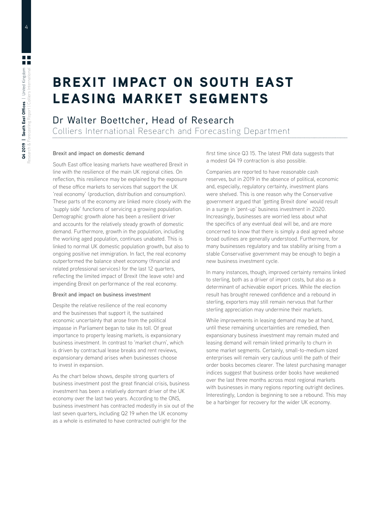## BREXIT IMPACT ON SOUTH EAST LEASING MARKET SEGMENTS

### Dr Walter Boettcher, Head of Research

Colliers International Research and Forecasting Department

### **Brexit and impact on domestic demand**

South East office leasing markets have weathered Brexit in line with the resilience of the main UK regional cities. On reflection, this resilience may be explained by the exposure of these office markets to services that support the UK 'real economy' (production, distribution and consumption). These parts of the economy are linked more closely with the 'supply side' functions of servicing a growing population. Demographic growth alone has been a resilient driver and accounts for the relatively steady growth of domestic demand. Furthermore, growth in the population, including the working aged population, continues unabated. This is linked to normal UK domestic population growth, but also to ongoing positive net immigration. In fact, the real economy outperformed the balance sheet economy (financial and related professional services) for the last 12 quarters, reflecting the limited impact of Brexit (the leave vote) and impending Brexit on performance of the real economy.

### **Brexit and impact on business investment**

Despite the relative resilience of the real economy and the businesses that support it, the sustained economic uncertainty that arose from the political impasse in Parliament began to take its toll. Of great importance to property leasing markets, is expansionary business investment. In contrast to 'market churn', which is driven by contractual lease breaks and rent reviews, expansionary demand arises when businesses choose to invest in expansion.

As the chart below shows, despite strong quarters of business investment post the great financial crisis, business investment has been a relatively dormant driver of the UK economy over the last two years. According to the ONS, business investment has contracted modestly in six out of the last seven quarters, including Q2 19 when the UK economy as a whole is estimated to have contracted outright for the

first time since Q3 15. The latest PMI data suggests that a modest Q4 19 contraction is also possible.

Companies are reported to have reasonable cash reserves, but in 2019 in the absence of political, economic and, especially, regulatory certainty, investment plans were shelved. This is one reason why the Conservative government argued that 'getting Brexit done' would result in a surge in 'pent-up' business investment in 2020. Increasingly, businesses are worried less about what the specifics of any eventual deal will be, and are more concerned to know that there is simply a deal agreed whose broad outlines are generally understood. Furthermore, for many businesses regulatory and tax stability arising from a stable Conservative government may be enough to begin a new business investment cycle.

In many instances, though, improved certainty remains linked to sterling, both as a driver of import costs, but also as a determinant of achievable export prices. While the election result has brought renewed confidence and a rebound in sterling, exporters may still remain nervous that further sterling appreciation may undermine their markets.

While improvements in leasing demand may be at hand, until these remaining uncertainties are remedied, then expansionary business investment may remain muted and leasing demand will remain linked primarily to churn in some market segments. Certainly, small-to-medium sized enterprises will remain very cautious until the path of their order books becomes clearer. The latest purchasing manager indices suggest that business order books have weakened over the last three months across most regional markets with businesses in many regions reporting outright declines. Interestingly, London is beginning to see a rebound. This may be a harbinger for recovery for the wider UK economy.

4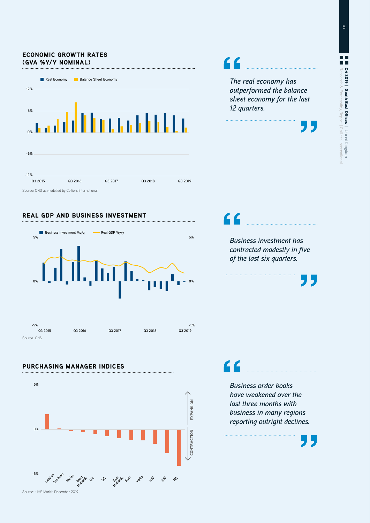### ECONOMIC GROWTH RATES (GVA %Y/Y NOMINAL)



Source: ONS as modelled by Colliers International





**5% 0%**

> **East Kasands**

**East**

**No<sup>tles</sup>**  $A^{N}$   $G^{N}$   $A^{N}$ 

EXPANSION

**CONTRACTION** 

**SE**

### PURCHASING MANAGER INDICES

*The real economy has outperformed the balance sheet economy for the last 12 quarters.*

*Business investment has contracted modestly in five of the last six quarters.*



C C

*Business order books have weakened over the last three months with business in many regions reporting outright declines.*



**-5%**  $\frac{1}{\sqrt{2}}e^{i\theta}\int_{0}^{\pi/2}e^{i\theta}e^{i\theta}$  and  $\frac{1}{\sqrt{2}}e^{i\theta}\int_{0}^{\pi/2}e^{i\theta}e^{i\theta}$  34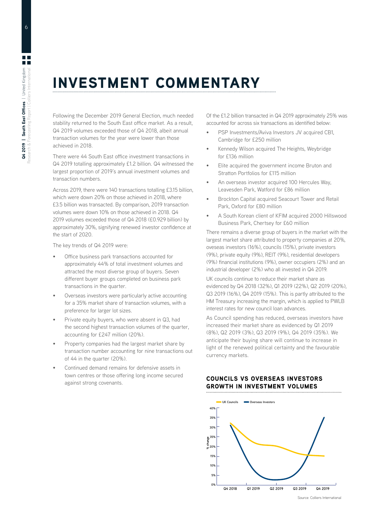# INVESTMENT COMMENTARY

Following the December 2019 General Election, much needed stability returned to the South East office market. As a result, Q4 2019 volumes exceeded those of Q4 2018, albeit annual transaction volumes for the year were lower than those achieved in 2018.

There were 44 South East office investment transactions in Q4 2019 totalling approximately £1.2 billion. Q4 witnessed the largest proportion of 2019's annual investment volumes and transaction numbers.

Across 2019, there were 140 transactions totalling £3.15 billion, which were down 20% on those achieved in 2018, where £3.5 billion was transacted. By comparison, 2019 transaction volumes were down 10% on those achieved in 2018. Q4 2019 volumes exceeded those of Q4 2018 (£0.929 billion) by approximately 30%, signifying renewed investor confidence at the start of 2020.

The key trends of Q4 2019 were:

- Office business park transactions accounted for approximately 44% of total investment volumes and attracted the most diverse group of buyers. Seven different buyer groups completed on business park transactions in the quarter.
- Overseas investors were particularly active accounting for a 35% market share of transaction volumes, with a preference for larger lot sizes.
- Private equity buyers, who were absent in Q3, had the second highest transaction volumes of the quarter, accounting for £247 million (20%).
- Property companies had the largest market share by transaction number accounting for nine transactions out of 44 in the quarter (20%).
- Continued demand remains for defensive assets in town centres or those offering long income secured against strong covenants.

Of the £1.2 billion transacted in Q4 2019 approximately 25% was accounted for across six transactions as identified below:

- PSP Investments/Aviva Investors JV acquired CB1, Cambridge for £250 million
- Kennedy Wilson acquired The Heights, Weybridge for £136 million
- Elite acquired the government income Bruton and Stratton Portfolios for £115 million
- An overseas investor acquired 100 Hercules Way, Leavesden Park, Watford for £86 million
- Brockton Capital acquired Seacourt Tower and Retail Park, Oxford for £80 million
- A South Korean client of KFIM acquired 2000 Hillswood Business Park, Chertsey for £60 million

There remains a diverse group of buyers in the market with the largest market share attributed to property companies at 20%, oveseas investors (16%), councils (15%), private investors (9%), private equity (9%), REIT (9%), residential developers (9%) financial institutions (9%), owner occupiers (2%) and an industrial developer (2%) who all invested in Q4 2019.

UK councils continue to reduce their market share as evidenced by Q4 2018 (32%), Q1 2019 (22%), Q2 2019 (20%), Q3 2019 (16%), Q4 2019 (15%). This is partly attributed to the HM Treasury increasing the margin, which is applied to PWLB interest rates for new council loan advances.

As Council spending has reduced, overseas investors have increased their market share as evidenced by Q1 2019 (8%), Q2 2019 (3%), Q3 2019 (9%), Q4 2019 (35%). We anticipate their buying share will continue to increase in light of the renewed political certainty and the favourable currency markets.

### COUNCILS VS OVERSEAS INVESTORS GROWTH IN INVESTMENT VOLUMES



6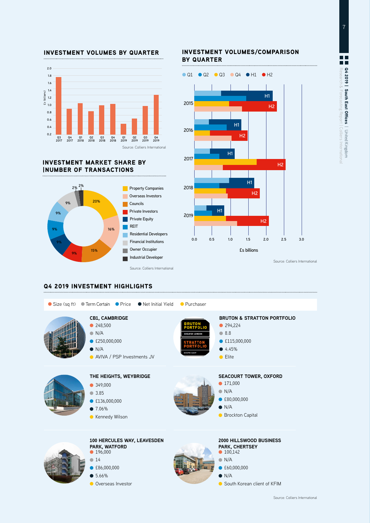



### INVESTMENT MARKET SHARE BY |NUMBER OF TRANSACTIONS



### INVESTMENT VOLUMES/COMPARISON BY QUARTER



Source: Colliers International

### Q4 2019 INVESTMENT HIGHLIGHTS